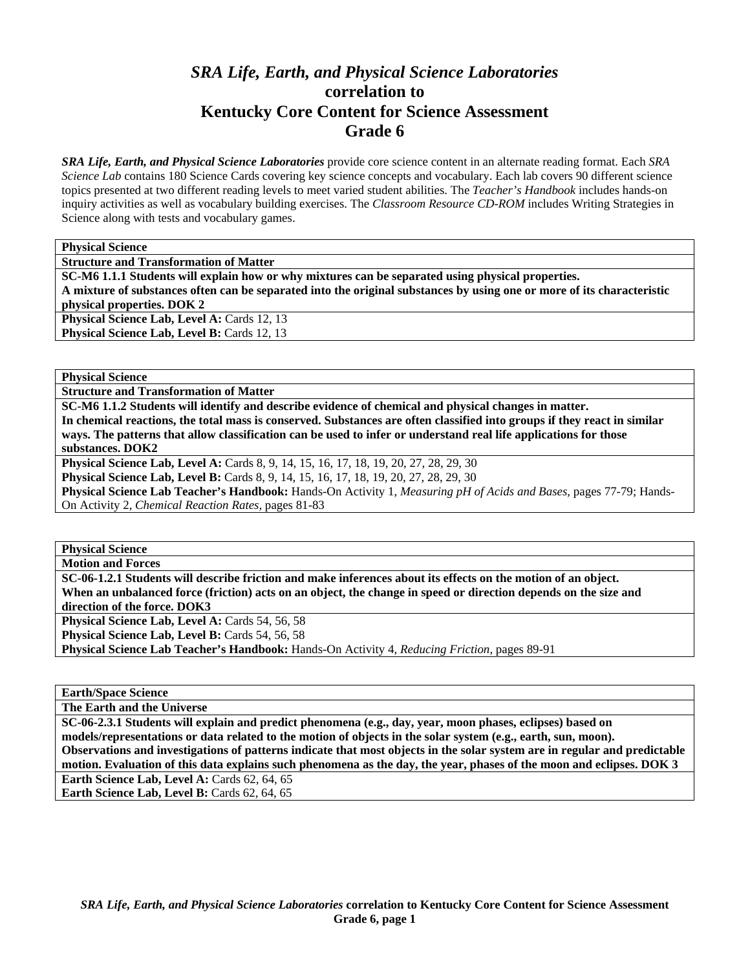# *SRA Life, Earth, and Physical Science Laboratories*  **correlation to Kentucky Core Content for Science Assessment Grade 6**

*SRA Life, Earth, and Physical Science Laboratories* provide core science content in an alternate reading format. Each *SRA Science Lab* contains 180 Science Cards covering key science concepts and vocabulary. Each lab covers 90 different science topics presented at two different reading levels to meet varied student abilities. The *Teacher's Handbook* includes hands-on inquiry activities as well as vocabulary building exercises. The *Classroom Resource CD-ROM* includes Writing Strategies in Science along with tests and vocabulary games.

**Physical Science** 

**Structure and Transformation of Matter** 

**SC-M6 1.1.1 Students will explain how or why mixtures can be separated using physical properties. A mixture of substances often can be separated into the original substances by using one or more of its characteristic physical properties. DOK 2 Physical Science Lab, Level A: Cards 12, 13** 

**Physical Science Lab, Level B: Cards 12, 13** 

**Physical Science** 

**Structure and Transformation of Matter** 

**SC-M6 1.1.2 Students will identify and describe evidence of chemical and physical changes in matter. In chemical reactions, the total mass is conserved. Substances are often classified into groups if they react in similar ways. The patterns that allow classification can be used to infer or understand real life applications for those substances. DOK2** 

**Physical Science Lab, Level A:** Cards 8, 9, 14, 15, 16, 17, 18, 19, 20, 27, 28, 29, 30

**Physical Science Lab, Level B:** Cards 8, 9, 14, 15, 16, 17, 18, 19, 20, 27, 28, 29, 30

**Physical Science Lab Teacher's Handbook:** Hands-On Activity 1, *Measuring pH of Acids and Bases,* pages 77-79; Hands-On Activity 2, *Chemical Reaction Rates,* pages 81-83

**Physical Science** 

**Motion and Forces** 

**SC-06-1.2.1 Students will describe friction and make inferences about its effects on the motion of an object. When an unbalanced force (friction) acts on an object, the change in speed or direction depends on the size and direction of the force. DOK3** 

Physical Science Lab, Level A: Cards 54, 56, 58

Physical Science Lab, Level B: Cards 54, 56, 58

**Physical Science Lab Teacher's Handbook:** Hands-On Activity 4, *Reducing Friction,* pages 89-91

**Earth/Space Science** 

**The Earth and the Universe** 

**SC-06-2.3.1 Students will explain and predict phenomena (e.g., day, year, moon phases, eclipses) based on models/representations or data related to the motion of objects in the solar system (e.g., earth, sun, moon). Observations and investigations of patterns indicate that most objects in the solar system are in regular and predictable motion. Evaluation of this data explains such phenomena as the day, the year, phases of the moon and eclipses. DOK 3 Earth Science Lab, Level A: Cards 62, 64, 65** Earth Science Lab, Level B: Cards 62, 64, 65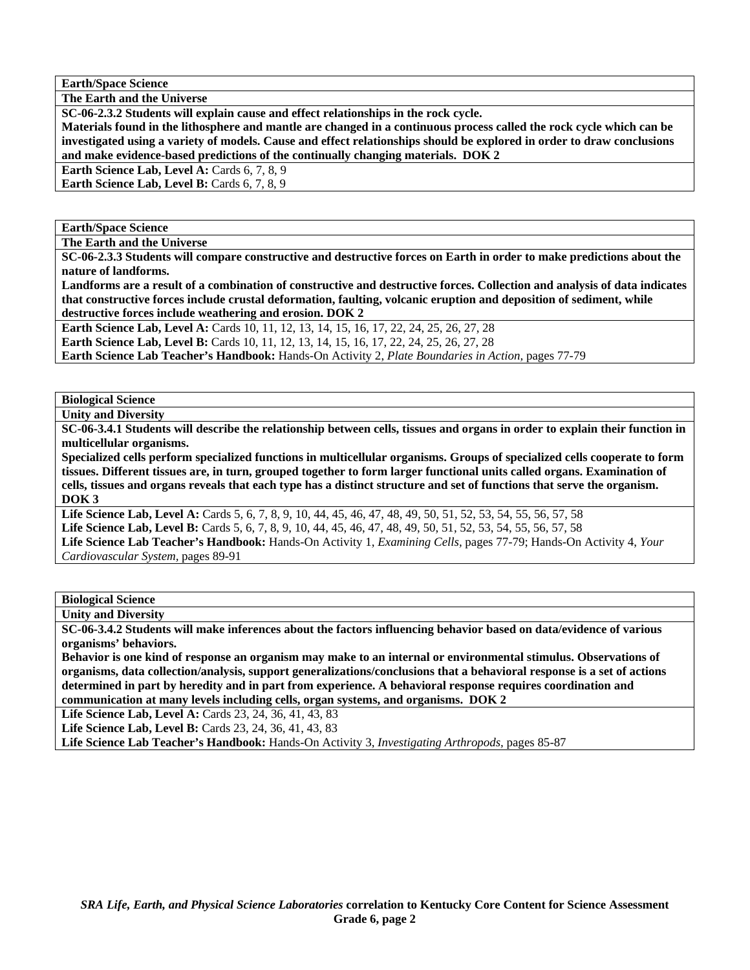**Earth/Space Science** 

**The Earth and the Universe** 

**SC-06-2.3.2 Students will explain cause and effect relationships in the rock cycle.** 

**Materials found in the lithosphere and mantle are changed in a continuous process called the rock cycle which can be investigated using a variety of models. Cause and effect relationships should be explored in order to draw conclusions and make evidence-based predictions of the continually changing materials. DOK 2** 

**Earth Science Lab, Level A: Cards 6, 7, 8, 9** 

**Earth Science Lab, Level B:** Cards 6, 7, 8, 9

**Earth/Space Science** 

**The Earth and the Universe** 

**SC-06-2.3.3 Students will compare constructive and destructive forces on Earth in order to make predictions about the nature of landforms.** 

**Landforms are a result of a combination of constructive and destructive forces. Collection and analysis of data indicates that constructive forces include crustal deformation, faulting, volcanic eruption and deposition of sediment, while destructive forces include weathering and erosion. DOK 2** 

Earth Science Lab, Level A: Cards 10, 11, 12, 13, 14, 15, 16, 17, 22, 24, 25, 26, 27, 28

**Earth Science Lab, Level B:** Cards 10, 11, 12, 13, 14, 15, 16, 17, 22, 24, 25, 26, 27, 28

**Earth Science Lab Teacher's Handbook:** Hands-On Activity 2, *Plate Boundaries in Action,* pages 77-79

**Biological Science** 

**Unity and Diversity** 

**SC-06-3.4.1 Students will describe the relationship between cells, tissues and organs in order to explain their function in multicellular organisms.** 

**Specialized cells perform specialized functions in multicellular organisms. Groups of specialized cells cooperate to form tissues. Different tissues are, in turn, grouped together to form larger functional units called organs. Examination of cells, tissues and organs reveals that each type has a distinct structure and set of functions that serve the organism. DOK 3** 

**Life Science Lab, Level A:** Cards 5, 6, 7, 8, 9, 10, 44, 45, 46, 47, 48, 49, 50, 51, 52, 53, 54, 55, 56, 57, 58 **Life Science Lab, Level B:** Cards 5, 6, 7, 8, 9, 10, 44, 45, 46, 47, 48, 49, 50, 51, 52, 53, 54, 55, 56, 57, 58 **Life Science Lab Teacher's Handbook:** Hands-On Activity 1, *Examining Cells,* pages 77-79; Hands-On Activity 4, *Your Cardiovascular System,* pages 89-91

**Biological Science** 

**Unity and Diversity** 

**SC-06-3.4.2 Students will make inferences about the factors influencing behavior based on data/evidence of various organisms' behaviors.** 

**Behavior is one kind of response an organism may make to an internal or environmental stimulus. Observations of organisms, data collection/analysis, support generalizations/conclusions that a behavioral response is a set of actions determined in part by heredity and in part from experience. A behavioral response requires coordination and communication at many levels including cells, organ systems, and organisms. DOK 2** 

Life Science Lab, Level A: Cards 23, 24, 36, 41, 43, 83

Life Science Lab, Level B: Cards 23, 24, 36, 41, 43, 83

**Life Science Lab Teacher's Handbook:** Hands-On Activity 3, *Investigating Arthropods,* pages 85-87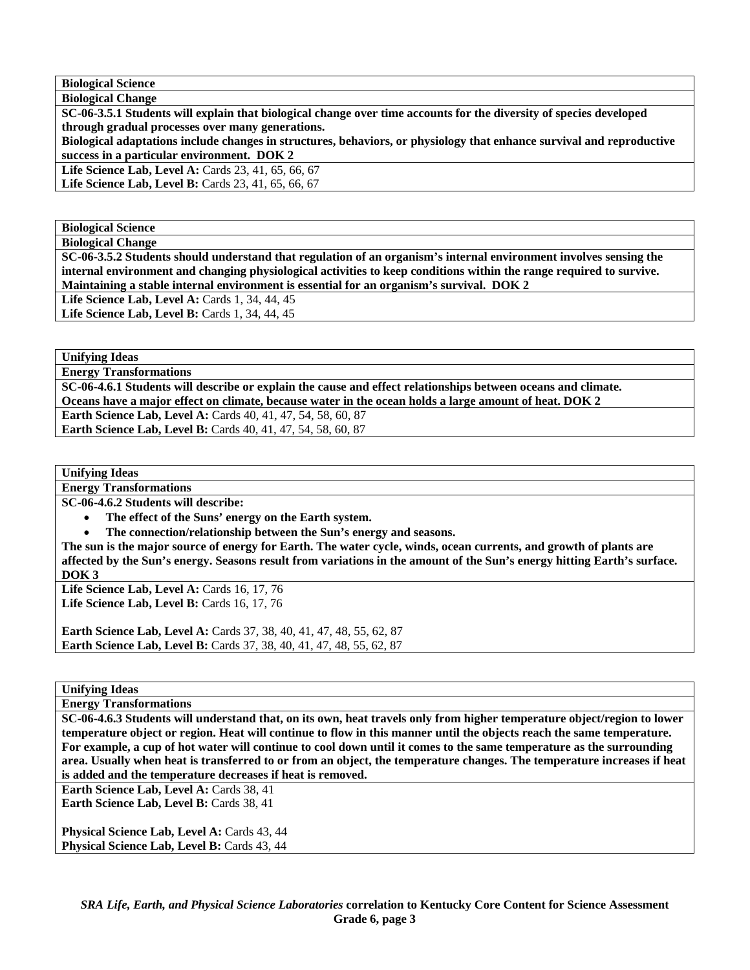**Biological Science Biological Change** 

**SC-06-3.5.1 Students will explain that biological change over time accounts for the diversity of species developed through gradual processes over many generations.** 

**Biological adaptations include changes in structures, behaviors, or physiology that enhance survival and reproductive success in a particular environment. DOK 2** 

Life Science Lab, Level A: Cards 23, 41, 65, 66, 67

**Life Science Lab, Level B:** Cards 23, 41, 65, 66, 67

**Biological Science** 

**Biological Change** 

**SC-06-3.5.2 Students should understand that regulation of an organism's internal environment involves sensing the internal environment and changing physiological activities to keep conditions within the range required to survive. Maintaining a stable internal environment is essential for an organism's survival. DOK 2** 

**Life Science Lab, Level A: Cards 1, 34, 44, 45 Life Science Lab, Level B: Cards 1, 34, 44, 45** 

**Unifying Ideas** 

**Energy Transformations** 

**SC-06-4.6.1 Students will describe or explain the cause and effect relationships between oceans and climate. Oceans have a major effect on climate, because water in the ocean holds a large amount of heat. DOK 2** 

**Earth Science Lab, Level A:** Cards 40, 41, 47, 54, 58, 60, 87

**Earth Science Lab, Level B:** Cards 40, 41, 47, 54, 58, 60, 87

**Unifying Ideas** 

**Energy Transformations** 

**SC-06-4.6.2 Students will describe:** 

• **The effect of the Suns' energy on the Earth system.** 

• **The connection/relationship between the Sun's energy and seasons.** 

**The sun is the major source of energy for Earth. The water cycle, winds, ocean currents, and growth of plants are affected by the Sun's energy. Seasons result from variations in the amount of the Sun's energy hitting Earth's surface. DOK 3** 

**Life Science Lab, Level A: Cards 16, 17, 76 Life Science Lab, Level B: Cards 16, 17, 76** 

**Earth Science Lab, Level A: Cards 37, 38, 40, 41, 47, 48, 55, 62, 87 Earth Science Lab, Level B:** Cards 37, 38, 40, 41, 47, 48, 55, 62, 87

**Unifying Ideas** 

**Energy Transformations** 

**SC-06-4.6.3 Students will understand that, on its own, heat travels only from higher temperature object/region to lower temperature object or region. Heat will continue to flow in this manner until the objects reach the same temperature. For example, a cup of hot water will continue to cool down until it comes to the same temperature as the surrounding area. Usually when heat is transferred to or from an object, the temperature changes. The temperature increases if heat is added and the temperature decreases if heat is removed.** 

Earth Science Lab, Level A: Cards 38, 41 Earth Science Lab, Level B: Cards 38, 41

**Physical Science Lab, Level A: Cards 43, 44 Physical Science Lab, Level B: Cards 43, 44**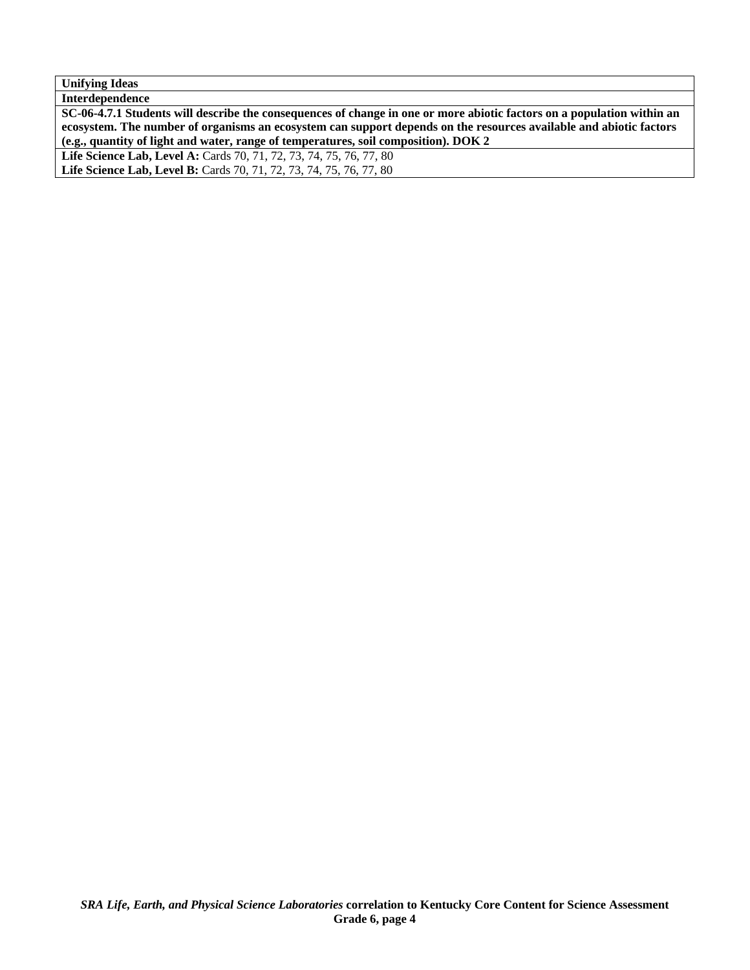| <b>Unifying Ideas</b>                                                                                                  |
|------------------------------------------------------------------------------------------------------------------------|
| Interdependence                                                                                                        |
| SC-06-4.7.1 Students will describe the consequences of change in one or more abiotic factors on a population within an |
| ecosystem. The number of organisms an ecosystem can support depends on the resources available and abiotic factors     |
| (e.g., quantity of light and water, range of temperatures, soil composition). DOK 2                                    |
| Life Science Lab, Level A: Cards 70, 71, 72, 73, 74, 75, 76, 77, 80                                                    |
| Life Science Lab, Level B: Cards 70, 71, 72, 73, 74, 75, 76, 77, 80                                                    |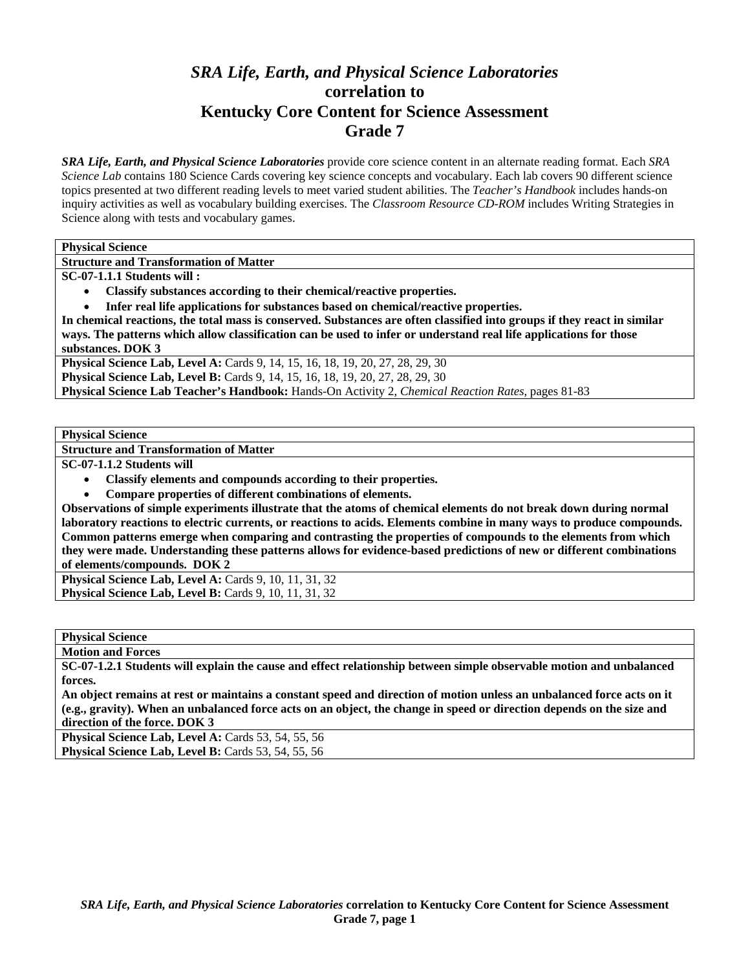# *SRA Life, Earth, and Physical Science Laboratories*  **correlation to Kentucky Core Content for Science Assessment Grade 7**

*SRA Life, Earth, and Physical Science Laboratories* provide core science content in an alternate reading format. Each *SRA Science Lab* contains 180 Science Cards covering key science concepts and vocabulary. Each lab covers 90 different science topics presented at two different reading levels to meet varied student abilities. The *Teacher's Handbook* includes hands-on inquiry activities as well as vocabulary building exercises. The *Classroom Resource CD-ROM* includes Writing Strategies in Science along with tests and vocabulary games.

**Physical Science** 

**Structure and Transformation of Matter** 

**SC-07-1.1.1 Students will :** 

• **Classify substances according to their chemical/reactive properties.** 

• **Infer real life applications for substances based on chemical/reactive properties.** 

**In chemical reactions, the total mass is conserved. Substances are often classified into groups if they react in similar ways. The patterns which allow classification can be used to infer or understand real life applications for those substances. DOK 3** 

**Physical Science Lab, Level A:** Cards 9, 14, 15, 16, 18, 19, 20, 27, 28, 29, 30 **Physical Science Lab, Level B:** Cards 9, 14, 15, 16, 18, 19, 20, 27, 28, 29, 30 **Physical Science Lab Teacher's Handbook:** Hands-On Activity 2, *Chemical Reaction Rates,* pages 81-83

**Physical Science** 

**Structure and Transformation of Matter** 

**SC-07-1.1.2 Students will** 

- **Classify elements and compounds according to their properties.**
- **Compare properties of different combinations of elements.**

**Observations of simple experiments illustrate that the atoms of chemical elements do not break down during normal laboratory reactions to electric currents, or reactions to acids. Elements combine in many ways to produce compounds. Common patterns emerge when comparing and contrasting the properties of compounds to the elements from which they were made. Understanding these patterns allows for evidence-based predictions of new or different combinations of elements/compounds. DOK 2** 

**Physical Science Lab, Level A: Cards 9, 10, 11, 31, 32 Physical Science Lab, Level B: Cards 9, 10, 11, 31, 32** 

**Physical Science** 

**Motion and Forces** 

**SC-07-1.2.1 Students will explain the cause and effect relationship between simple observable motion and unbalanced forces.** 

**An object remains at rest or maintains a constant speed and direction of motion unless an unbalanced force acts on it (e.g., gravity). When an unbalanced force acts on an object, the change in speed or direction depends on the size and direction of the force. DOK 3** 

**Physical Science Lab, Level A: Cards 53, 54, 55, 56 Physical Science Lab, Level B:** Cards 53, 54, 55, 56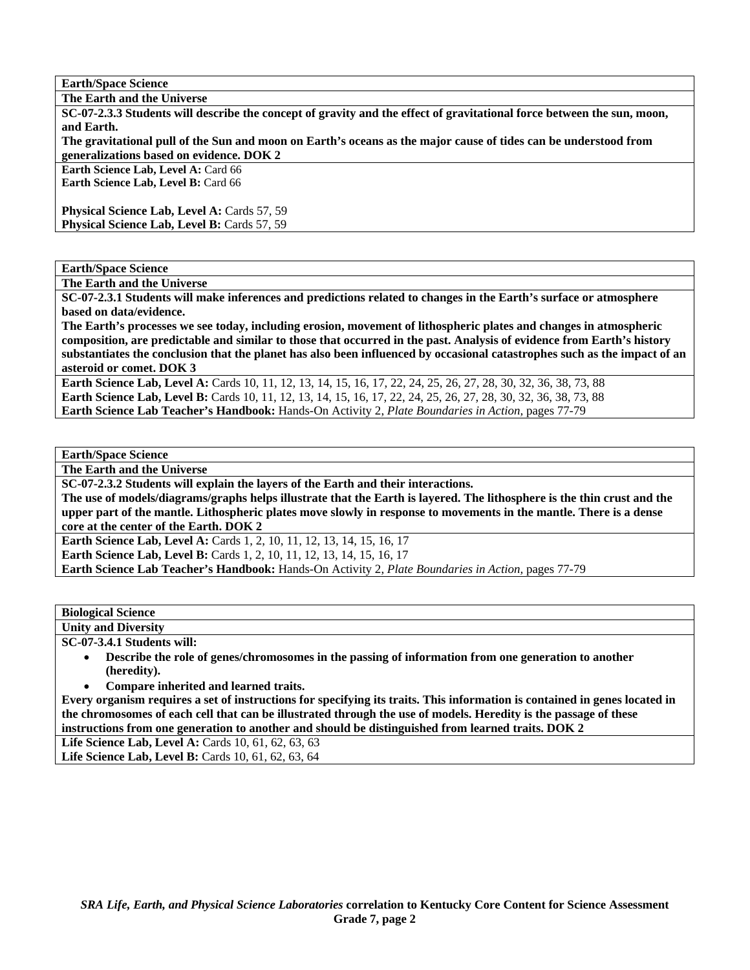**Earth/Space Science** 

**The Earth and the Universe** 

**SC-07-2.3.3 Students will describe the concept of gravity and the effect of gravitational force between the sun, moon, and Earth.** 

**The gravitational pull of the Sun and moon on Earth's oceans as the major cause of tides can be understood from generalizations based on evidence. DOK 2** 

**Earth Science Lab, Level A: Card 66 Earth Science Lab, Level B:** Card 66

**Physical Science Lab, Level A: Cards 57, 59** Physical Science Lab, Level B: Cards 57, 59

**Earth/Space Science** 

**The Earth and the Universe** 

**SC-07-2.3.1 Students will make inferences and predictions related to changes in the Earth's surface or atmosphere based on data/evidence.** 

**The Earth's processes we see today, including erosion, movement of lithospheric plates and changes in atmospheric composition, are predictable and similar to those that occurred in the past. Analysis of evidence from Earth's history substantiates the conclusion that the planet has also been influenced by occasional catastrophes such as the impact of an asteroid or comet. DOK 3** 

**Earth Science Lab, Level A:** Cards 10, 11, 12, 13, 14, 15, 16, 17, 22, 24, 25, 26, 27, 28, 30, 32, 36, 38, 73, 88 **Earth Science Lab, Level B:** Cards 10, 11, 12, 13, 14, 15, 16, 17, 22, 24, 25, 26, 27, 28, 30, 32, 36, 38, 73, 88 **Earth Science Lab Teacher's Handbook:** Hands-On Activity 2, *Plate Boundaries in Action,* pages 77-79

**Earth/Space Science** 

**The Earth and the Universe** 

**SC-07-2.3.2 Students will explain the layers of the Earth and their interactions.** 

**The use of models/diagrams/graphs helps illustrate that the Earth is layered. The lithosphere is the thin crust and the upper part of the mantle. Lithospheric plates move slowly in response to movements in the mantle. There is a dense core at the center of the Earth. DOK 2** 

**Earth Science Lab, Level A: Cards 1, 2, 10, 11, 12, 13, 14, 15, 16, 17 Earth Science Lab, Level B:** Cards 1, 2, 10, 11, 12, 13, 14, 15, 16, 17

**Earth Science Lab Teacher's Handbook:** Hands-On Activity 2, *Plate Boundaries in Action,* pages 77-79

### **Biological Science**

**Unity and Diversity** 

**SC-07-3.4.1 Students will:** 

- **Describe the role of genes/chromosomes in the passing of information from one generation to another (heredity).**
- **Compare inherited and learned traits.**

**Every organism requires a set of instructions for specifying its traits. This information is contained in genes located in the chromosomes of each cell that can be illustrated through the use of models. Heredity is the passage of these instructions from one generation to another and should be distinguished from learned traits. DOK 2** 

Life Science Lab, Level A: Cards 10, 61, 62, 63, 63

Life Science Lab, Level B: Cards 10, 61, 62, 63, 64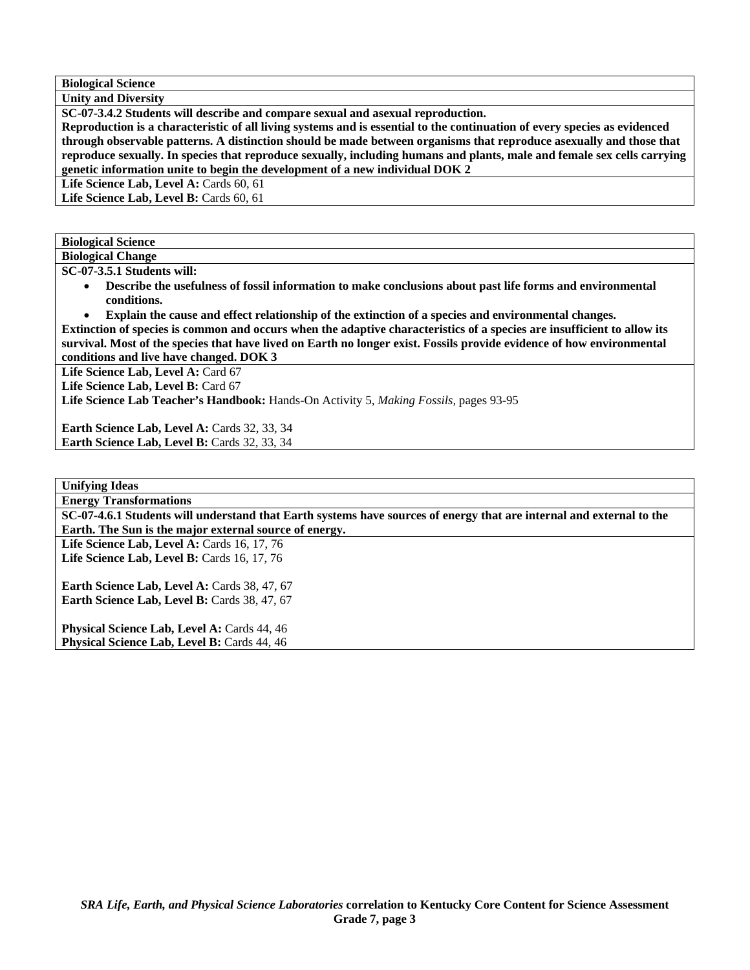**Biological Science Unity and Diversity** 

**SC-07-3.4.2 Students will describe and compare sexual and asexual reproduction.** 

**Reproduction is a characteristic of all living systems and is essential to the continuation of every species as evidenced through observable patterns. A distinction should be made between organisms that reproduce asexually and those that reproduce sexually. In species that reproduce sexually, including humans and plants, male and female sex cells carrying genetic information unite to begin the development of a new individual DOK 2** 

Life Science Lab, Level A: Cards 60, 61

Life Science Lab, Level B: Cards 60, 61

**Biological Science** 

**Biological Change SC-07-3.5.1 Students will:** 

- **Describe the usefulness of fossil information to make conclusions about past life forms and environmental conditions.**
- **Explain the cause and effect relationship of the extinction of a species and environmental changes.**

**Extinction of species is common and occurs when the adaptive characteristics of a species are insufficient to allow its survival. Most of the species that have lived on Earth no longer exist. Fossils provide evidence of how environmental conditions and live have changed. DOK 3** 

Life Science Lab, Level A: Card 67

Life Science Lab, Level B: Card 67

**Life Science Lab Teacher's Handbook:** Hands-On Activity 5, *Making Fossils,* pages 93-95

Earth Science Lab, Level A: Cards 32, 33, 34 Earth Science Lab, Level B: Cards 32, 33, 34

**Unifying Ideas Energy Transformations** 

**SC-07-4.6.1 Students will understand that Earth systems have sources of energy that are internal and external to the Earth. The Sun is the major external source of energy.** 

**Life Science Lab, Level A: Cards 16, 17, 76** Life Science Lab, Level B: Cards 16, 17, 76

Earth Science Lab, Level A: Cards 38, 47, 67 Earth Science Lab, Level B: Cards 38, 47, 67

Physical Science Lab, Level A: Cards 44, 46 **Physical Science Lab, Level B: Cards 44, 46**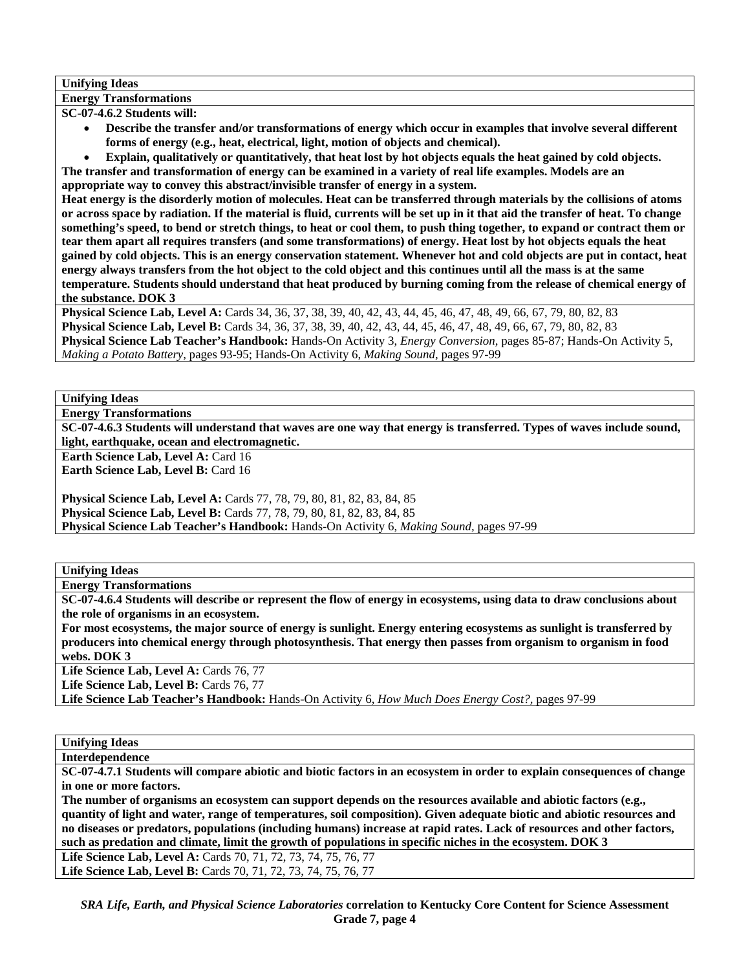### **Unifying Ideas**

**Energy Transformations** 

**SC-07-4.6.2 Students will:** 

- **Describe the transfer and/or transformations of energy which occur in examples that involve several different forms of energy (e.g., heat, electrical, light, motion of objects and chemical).**
- **Explain, qualitatively or quantitatively, that heat lost by hot objects equals the heat gained by cold objects.**

**The transfer and transformation of energy can be examined in a variety of real life examples. Models are an appropriate way to convey this abstract/invisible transfer of energy in a system.** 

**Heat energy is the disorderly motion of molecules. Heat can be transferred through materials by the collisions of atoms or across space by radiation. If the material is fluid, currents will be set up in it that aid the transfer of heat. To change something's speed, to bend or stretch things, to heat or cool them, to push thing together, to expand or contract them or tear them apart all requires transfers (and some transformations) of energy. Heat lost by hot objects equals the heat gained by cold objects. This is an energy conservation statement. Whenever hot and cold objects are put in contact, heat energy always transfers from the hot object to the cold object and this continues until all the mass is at the same temperature. Students should understand that heat produced by burning coming from the release of chemical energy of the substance. DOK 3** 

**Physical Science Lab, Level A:** Cards 34, 36, 37, 38, 39, 40, 42, 43, 44, 45, 46, 47, 48, 49, 66, 67, 79, 80, 82, 83 **Physical Science Lab, Level B:** Cards 34, 36, 37, 38, 39, 40, 42, 43, 44, 45, 46, 47, 48, 49, 66, 67, 79, 80, 82, 83 **Physical Science Lab Teacher's Handbook:** Hands-On Activity 3, *Energy Conversion,* pages 85-87; Hands-On Activity 5, *Making a Potato Battery,* pages 93-95; Hands-On Activity 6, *Making Sound,* pages 97-99

**Unifying Ideas** 

**Energy Transformations** 

**SC-07-4.6.3 Students will understand that waves are one way that energy is transferred. Types of waves include sound, light, earthquake, ocean and electromagnetic.** 

**Earth Science Lab, Level A: Card 16** 

**Earth Science Lab, Level B: Card 16** 

**Physical Science Lab, Level A:** Cards 77, 78, 79, 80, 81, 82, 83, 84, 85 **Physical Science Lab, Level B:** Cards 77, 78, 79, 80, 81, 82, 83, 84, 85 **Physical Science Lab Teacher's Handbook:** Hands-On Activity 6, *Making Sound,* pages 97-99

**Unifying Ideas** 

**Energy Transformations** 

**SC-07-4.6.4 Students will describe or represent the flow of energy in ecosystems, using data to draw conclusions about the role of organisms in an ecosystem.** 

**For most ecosystems, the major source of energy is sunlight. Energy entering ecosystems as sunlight is transferred by producers into chemical energy through photosynthesis. That energy then passes from organism to organism in food webs. DOK 3** 

Life Science Lab, Level A: Cards 76, 77

Life Science Lab, Level B: Cards 76, 77

**Life Science Lab Teacher's Handbook:** Hands-On Activity 6, *How Much Does Energy Cost?,* pages 97-99

**Unifying Ideas** 

**Interdependence** 

**SC-07-4.7.1 Students will compare abiotic and biotic factors in an ecosystem in order to explain consequences of change in one or more factors.** 

**The number of organisms an ecosystem can support depends on the resources available and abiotic factors (e.g., quantity of light and water, range of temperatures, soil composition). Given adequate biotic and abiotic resources and no diseases or predators, populations (including humans) increase at rapid rates. Lack of resources and other factors, such as predation and climate, limit the growth of populations in specific niches in the ecosystem. DOK 3** 

**Life Science Lab, Level A:** Cards 70, 71, 72, 73, 74, 75, 76, 77 **Life Science Lab, Level B:** Cards 70, 71, 72, 73, 74, 75, 76, 77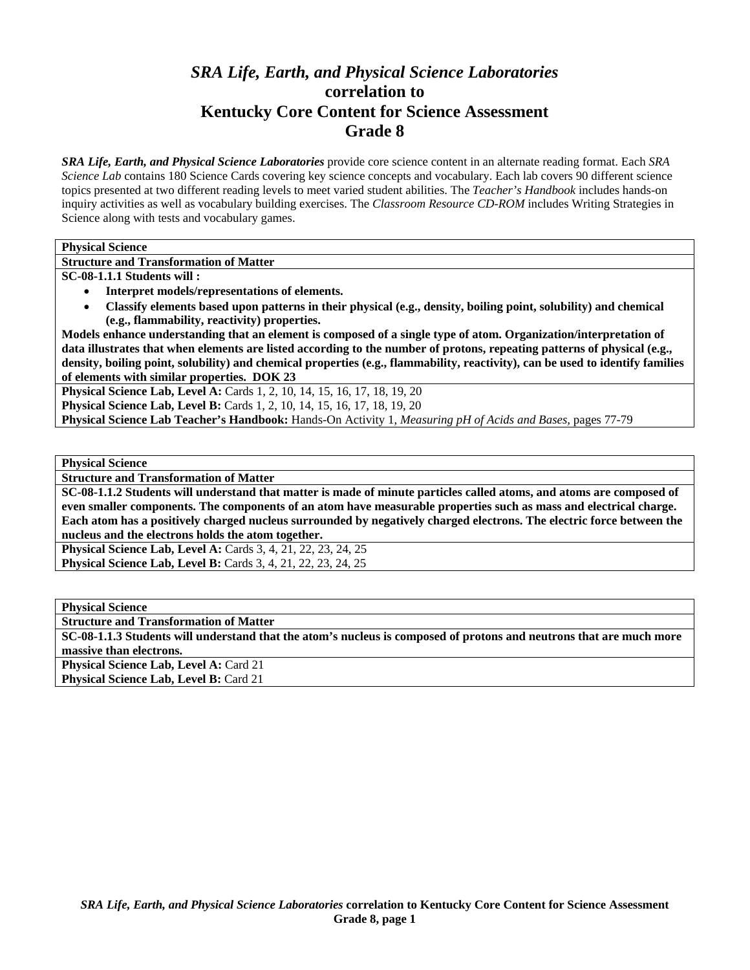# *SRA Life, Earth, and Physical Science Laboratories*  **correlation to Kentucky Core Content for Science Assessment Grade 8**

*SRA Life, Earth, and Physical Science Laboratories* provide core science content in an alternate reading format. Each *SRA Science Lab* contains 180 Science Cards covering key science concepts and vocabulary. Each lab covers 90 different science topics presented at two different reading levels to meet varied student abilities. The *Teacher's Handbook* includes hands-on inquiry activities as well as vocabulary building exercises. The *Classroom Resource CD-ROM* includes Writing Strategies in Science along with tests and vocabulary games.

**Physical Science** 

**Structure and Transformation of Matter** 

**SC-08-1.1.1 Students will :** 

- **Interpret models/representations of elements.**
- **Classify elements based upon patterns in their physical (e.g., density, boiling point, solubility) and chemical (e.g., flammability, reactivity) properties.**

**Models enhance understanding that an element is composed of a single type of atom. Organization/interpretation of data illustrates that when elements are listed according to the number of protons, repeating patterns of physical (e.g., density, boiling point, solubility) and chemical properties (e.g., flammability, reactivity), can be used to identify families of elements with similar properties. DOK 23** 

**Physical Science Lab, Level A: Cards 1, 2, 10, 14, 15, 16, 17, 18, 19, 20** 

**Physical Science Lab, Level B:** Cards 1, 2, 10, 14, 15, 16, 17, 18, 19, 20

**Physical Science Lab Teacher's Handbook:** Hands-On Activity 1, *Measuring pH of Acids and Bases,* pages 77-79

**Physical Science** 

**Structure and Transformation of Matter** 

**SC-08-1.1.2 Students will understand that matter is made of minute particles called atoms, and atoms are composed of even smaller components. The components of an atom have measurable properties such as mass and electrical charge. Each atom has a positively charged nucleus surrounded by negatively charged electrons. The electric force between the nucleus and the electrons holds the atom together.** 

**Physical Science Lab, Level A: Cards 3, 4, 21, 22, 23, 24, 25 Physical Science Lab, Level B:** Cards 3, 4, 21, 22, 23, 24, 25

**Physical Science** 

**Structure and Transformation of Matter** 

**SC-08-1.1.3 Students will understand that the atom's nucleus is composed of protons and neutrons that are much more massive than electrons.** 

**Physical Science Lab, Level A: Card 21 Physical Science Lab, Level B: Card 21**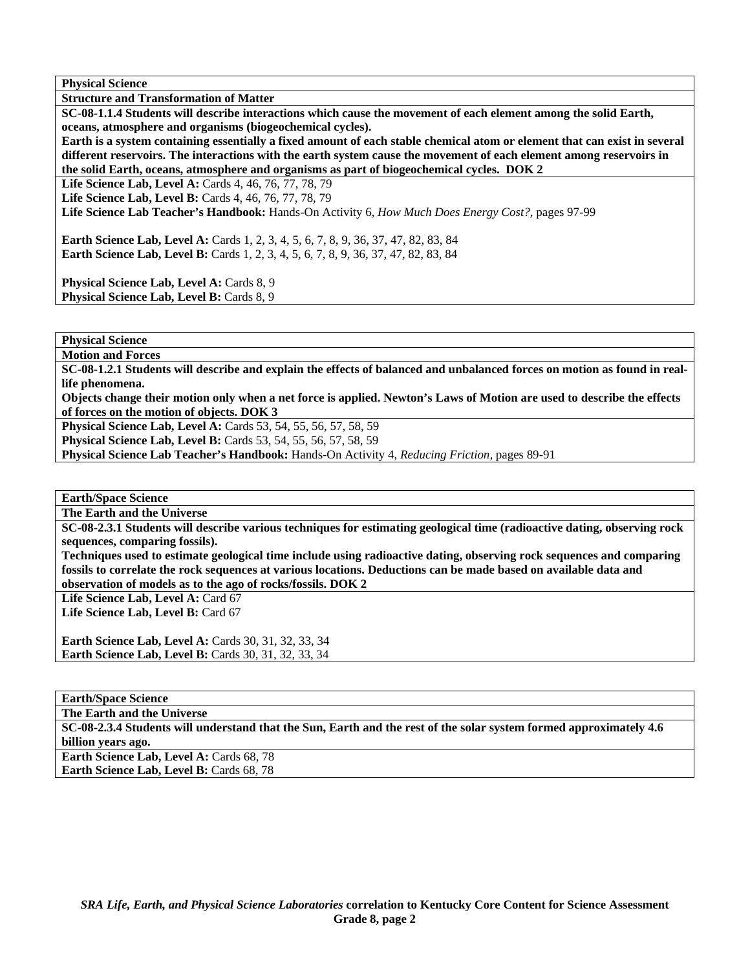**Physical Science** 

**Structure and Transformation of Matter** 

**SC-08-1.1.4 Students will describe interactions which cause the movement of each element among the solid Earth, oceans, atmosphere and organisms (biogeochemical cycles).** 

**Earth is a system containing essentially a fixed amount of each stable chemical atom or element that can exist in several different reservoirs. The interactions with the earth system cause the movement of each element among reservoirs in the solid Earth, oceans, atmosphere and organisms as part of biogeochemical cycles. DOK 2** 

**Life Science Lab, Level A: Cards 4, 46, 76, 77, 78, 79** 

**Life Science Lab, Level B:** Cards 4, 46, 76, 77, 78, 79

**Life Science Lab Teacher's Handbook:** Hands-On Activity 6, *How Much Does Energy Cost?,* pages 97-99

**Earth Science Lab, Level A:** Cards 1, 2, 3, 4, 5, 6, 7, 8, 9, 36, 37, 47, 82, 83, 84 **Earth Science Lab, Level B:** Cards 1, 2, 3, 4, 5, 6, 7, 8, 9, 36, 37, 47, 82, 83, 84

Physical Science Lab, Level A: Cards 8, 9 Physical Science Lab, Level B: Cards 8, 9

**Physical Science** 

**Motion and Forces** 

**SC-08-1.2.1 Students will describe and explain the effects of balanced and unbalanced forces on motion as found in reallife phenomena.** 

**Objects change their motion only when a net force is applied. Newton's Laws of Motion are used to describe the effects of forces on the motion of objects. DOK 3** 

**Physical Science Lab, Level A:** Cards 53, 54, 55, 56, 57, 58, 59

**Physical Science Lab, Level B:** Cards 53, 54, 55, 56, 57, 58, 59

**Physical Science Lab Teacher's Handbook:** Hands-On Activity 4, *Reducing Friction,* pages 89-91

**Earth/Space Science** 

**The Earth and the Universe** 

**SC-08-2.3.1 Students will describe various techniques for estimating geological time (radioactive dating, observing rock sequences, comparing fossils).** 

**Techniques used to estimate geological time include using radioactive dating, observing rock sequences and comparing fossils to correlate the rock sequences at various locations. Deductions can be made based on available data and observation of models as to the ago of rocks/fossils. DOK 2** 

Life Science Lab, Level A: Card 67

Life Science Lab, Level B: Card 67

**Earth Science Lab, Level A: Cards 30, 31, 32, 33, 34 Earth Science Lab, Level B: Cards 30, 31, 32, 33, 34** 

**Earth/Space Science** 

**The Earth and the Universe** 

**SC-08-2.3.4 Students will understand that the Sun, Earth and the rest of the solar system formed approximately 4.6 billion years ago.** 

**Earth Science Lab, Level A: Cards 68, 78 Earth Science Lab, Level B: Cards 68, 78**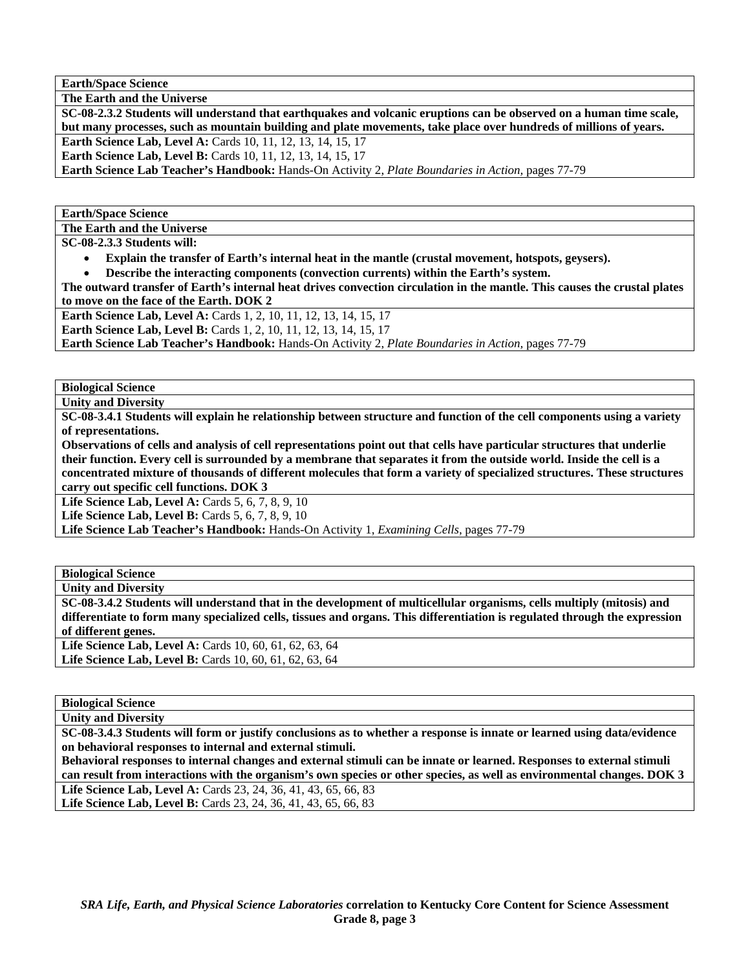**Earth/Space Science** 

**The Earth and the Universe** 

**SC-08-2.3.2 Students will understand that earthquakes and volcanic eruptions can be observed on a human time scale, but many processes, such as mountain building and plate movements, take place over hundreds of millions of years.** 

**Earth Science Lab, Level A: Cards 10, 11, 12, 13, 14, 15, 17** 

**Earth Science Lab, Level B:** Cards 10, 11, 12, 13, 14, 15, 17

**Earth Science Lab Teacher's Handbook:** Hands-On Activity 2, *Plate Boundaries in Action,* pages 77-79

**Earth/Space Science** 

**The Earth and the Universe** 

**SC-08-2.3.3 Students will:** 

- **Explain the transfer of Earth's internal heat in the mantle (crustal movement, hotspots, geysers).**
- **Describe the interacting components (convection currents) within the Earth's system.**

**The outward transfer of Earth's internal heat drives convection circulation in the mantle. This causes the crustal plates to move on the face of the Earth. DOK 2** 

**Earth Science Lab, Level A: Cards 1, 2, 10, 11, 12, 13, 14, 15, 17** 

**Earth Science Lab, Level B:** Cards 1, 2, 10, 11, 12, 13, 14, 15, 17

**Earth Science Lab Teacher's Handbook:** Hands-On Activity 2, *Plate Boundaries in Action,* pages 77-79

**Biological Science** 

**Unity and Diversity** 

**SC-08-3.4.1 Students will explain he relationship between structure and function of the cell components using a variety of representations.** 

**Observations of cells and analysis of cell representations point out that cells have particular structures that underlie their function. Every cell is surrounded by a membrane that separates it from the outside world. Inside the cell is a concentrated mixture of thousands of different molecules that form a variety of specialized structures. These structures carry out specific cell functions. DOK 3** 

**Life Science Lab, Level A: Cards 5, 6, 7, 8, 9, 10 Life Science Lab, Level B:** Cards 5, 6, 7, 8, 9, 10

**Life Science Lab Teacher's Handbook:** Hands-On Activity 1, *Examining Cells,* pages 77-79

**Biological Science** 

**Unity and Diversity** 

**SC-08-3.4.2 Students will understand that in the development of multicellular organisms, cells multiply (mitosis) and differentiate to form many specialized cells, tissues and organs. This differentiation is regulated through the expression of different genes.**  Life Science Lab, Level A: Cards 10, 60, 61, 62, 63, 64

Life Science Lab, Level B: Cards 10, 60, 61, 62, 63, 64

**Biological Science** 

**Unity and Diversity** 

**SC-08-3.4.3 Students will form or justify conclusions as to whether a response is innate or learned using data/evidence on behavioral responses to internal and external stimuli.** 

**Behavioral responses to internal changes and external stimuli can be innate or learned. Responses to external stimuli can result from interactions with the organism's own species or other species, as well as environmental changes. DOK 3** 

**Life Science Lab, Level A:** Cards 23, 24, 36, 41, 43, 65, 66, 83 **Life Science Lab, Level B:** Cards 23, 24, 36, 41, 43, 65, 66, 83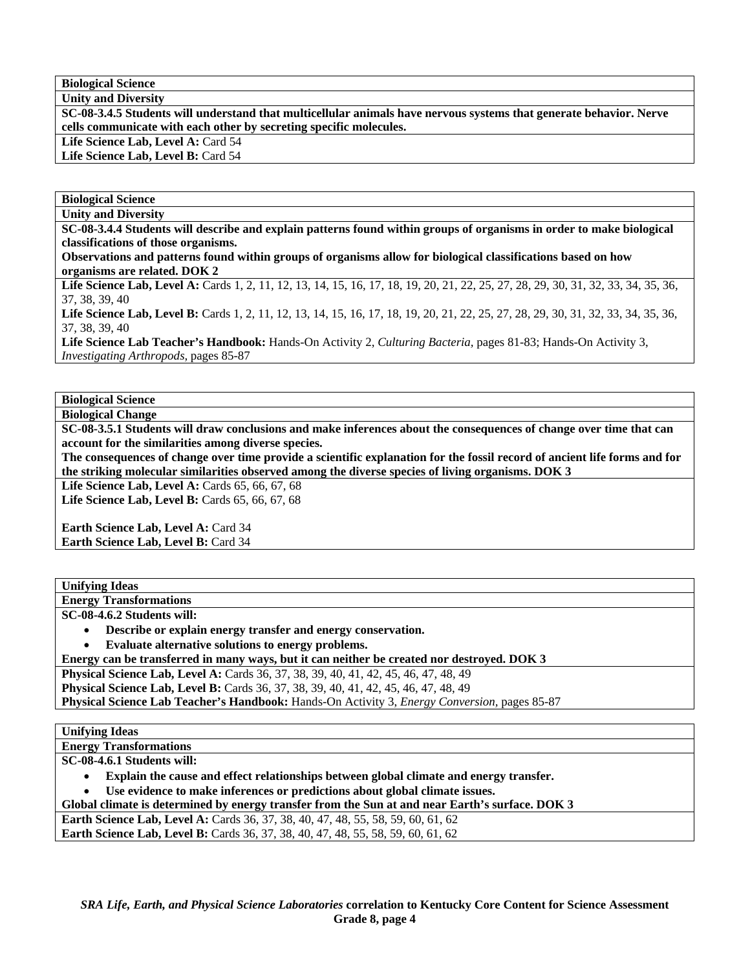**Biological Science Unity and Diversity** 

**SC-08-3.4.5 Students will understand that multicellular animals have nervous systems that generate behavior. Nerve cells communicate with each other by secreting specific molecules.** 

Life Science Lab, Level A: Card 54

Life Science Lab, Level B: Card 54

**Biological Science Unity and Diversity** 

**SC-08-3.4.4 Students will describe and explain patterns found within groups of organisms in order to make biological classifications of those organisms.** 

**Observations and patterns found within groups of organisms allow for biological classifications based on how organisms are related. DOK 2** 

Life Science Lab, Level A: Cards 1, 2, 11, 12, 13, 14, 15, 16, 17, 18, 19, 20, 21, 22, 25, 27, 28, 29, 30, 31, 32, 33, 34, 35, 36, 37, 38, 39, 40

Life Science Lab, Level B: Cards 1, 2, 11, 12, 13, 14, 15, 16, 17, 18, 19, 20, 21, 22, 25, 27, 28, 29, 30, 31, 32, 33, 34, 35, 36, 37, 38, 39, 40

**Life Science Lab Teacher's Handbook:** Hands-On Activity 2, *Culturing Bacteria,* pages 81-83; Hands-On Activity 3, *Investigating Arthropods,* pages 85-87

### **Biological Science**

**Biological Change** 

**SC-08-3.5.1 Students will draw conclusions and make inferences about the consequences of change over time that can account for the similarities among diverse species.** 

**The consequences of change over time provide a scientific explanation for the fossil record of ancient life forms and for the striking molecular similarities observed among the diverse species of living organisms. DOK 3** 

Life Science Lab, Level A: Cards **65**, **66**, **67**, **68** Life Science Lab, Level B: Cards 65, 66, 67, 68

**Earth Science Lab, Level A: Card 34 Earth Science Lab, Level B:** Card 34

| <b>Unifying Ideas</b> |  |
|-----------------------|--|
|                       |  |

**Energy Transformations** 

**SC-08-4.6.2 Students will:** 

• **Describe or explain energy transfer and energy conservation.** 

• **Evaluate alternative solutions to energy problems.** 

**Energy can be transferred in many ways, but it can neither be created nor destroyed. DOK 3** 

**Physical Science Lab, Level A:** Cards 36, 37, 38, 39, 40, 41, 42, 45, 46, 47, 48, 49

**Physical Science Lab, Level B:** Cards 36, 37, 38, 39, 40, 41, 42, 45, 46, 47, 48, 49

**Physical Science Lab Teacher's Handbook:** Hands-On Activity 3, *Energy Conversion,* pages 85-87

**Unifying Ideas** 

**Energy Transformations** 

**SC-08-4.6.1 Students will:** 

• **Explain the cause and effect relationships between global climate and energy transfer.** 

• **Use evidence to make inferences or predictions about global climate issues.** 

**Global climate is determined by energy transfer from the Sun at and near Earth's surface. DOK 3** 

Earth Science Lab, Level A: Cards 36, 37, 38, 40, 47, 48, 55, 58, 59, 60, 61, 62

**Earth Science Lab, Level B:** Cards 36, 37, 38, 40, 47, 48, 55, 58, 59, 60, 61, 62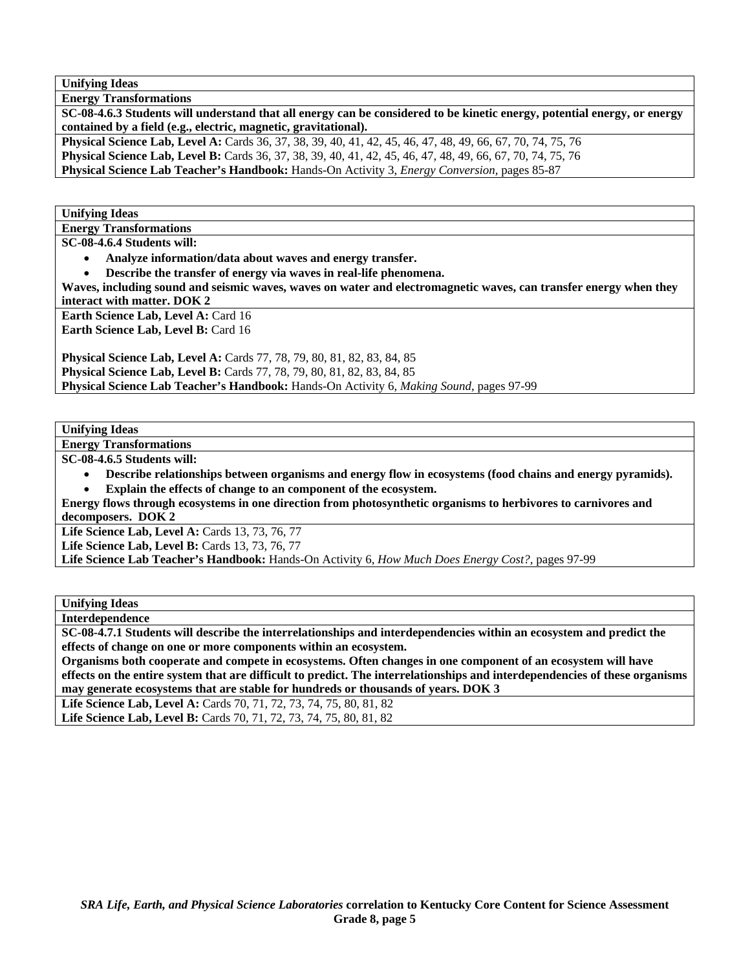**Unifying Ideas** 

**Energy Transformations** 

**SC-08-4.6.3 Students will understand that all energy can be considered to be kinetic energy, potential energy, or energy contained by a field (e.g., electric, magnetic, gravitational).** 

**Physical Science Lab, Level A:** Cards 36, 37, 38, 39, 40, 41, 42, 45, 46, 47, 48, 49, 66, 67, 70, 74, 75, 76 **Physical Science Lab, Level B:** Cards 36, 37, 38, 39, 40, 41, 42, 45, 46, 47, 48, 49, 66, 67, 70, 74, 75, 76 **Physical Science Lab Teacher's Handbook:** Hands-On Activity 3, *Energy Conversion,* pages 85-87

**Unifying Ideas** 

**Energy Transformations** 

**SC-08-4.6.4 Students will:** 

• **Analyze information/data about waves and energy transfer.** 

• **Describe the transfer of energy via waves in real-life phenomena.** 

**Waves, including sound and seismic waves, waves on water and electromagnetic waves, can transfer energy when they interact with matter. DOK 2** 

**Earth Science Lab, Level A: Card 16** 

**Earth Science Lab, Level B: Card 16** 

**Physical Science Lab, Level A: Cards 77, 78, 79, 80, 81, 82, 83, 84, 85 Physical Science Lab, Level B:** Cards 77, 78, 79, 80, 81, 82, 83, 84, 85 **Physical Science Lab Teacher's Handbook:** Hands-On Activity 6, *Making Sound,* pages 97-99

**Unifying Ideas** 

**Energy Transformations** 

**SC-08-4.6.5 Students will:** 

• **Describe relationships between organisms and energy flow in ecosystems (food chains and energy pyramids).**  Explain the effects of change to an component of the ecosystem.

**Energy flows through ecosystems in one direction from photosynthetic organisms to herbivores to carnivores and decomposers. DOK 2** 

Life Science Lab, Level A: Cards 13, 73, 76, 77

Life Science Lab, Level B: Cards 13, 73, 76, 77

**Life Science Lab Teacher's Handbook:** Hands-On Activity 6, *How Much Does Energy Cost?,* pages 97-99

**Unifying Ideas** 

**Interdependence** 

**SC-08-4.7.1 Students will describe the interrelationships and interdependencies within an ecosystem and predict the effects of change on one or more components within an ecosystem.** 

**Organisms both cooperate and compete in ecosystems. Often changes in one component of an ecosystem will have effects on the entire system that are difficult to predict. The interrelationships and interdependencies of these organisms may generate ecosystems that are stable for hundreds or thousands of years. DOK 3** 

Life Science Lab, Level A: Cards 70, 71, 72, 73, 74, 75, 80, 81, 82

Life Science Lab, Level B: Cards 70, 71, 72, 73, 74, 75, 80, 81, 82